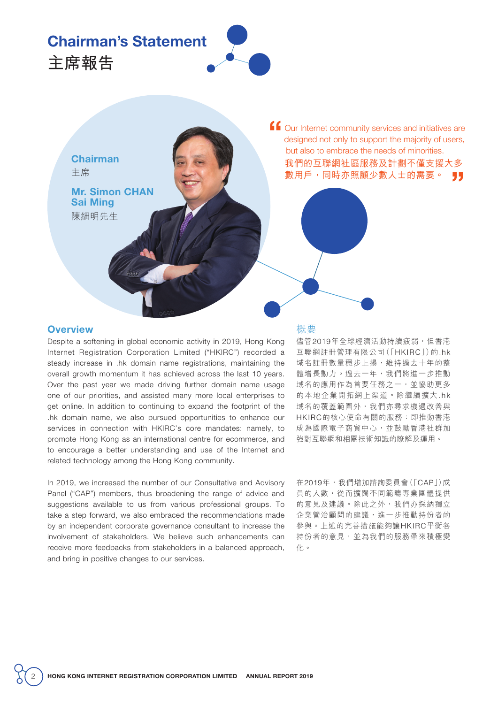## Chairman's Statement



**Chairman** 主席

**主席報告** 

陳細明先生 Mr. Simon CHAN Sai Ming

ff Our Internet community services and initiatives are designed not only to support the majority of users, designed not only to support the majority of users, but also to embrace the needs of minorities. 我們的互聯網社區服務及計劃不僅支援大多 數用戶,同時亦照顧少數人士的需要。 "

## **Overview**

Despite a softening in global economic activity in 2019, Hong Kong Internet Registration Corporation Limited ("HKIRC") recorded a steady increase in .hk domain name registrations, maintaining the overall growth momentum it has achieved across the last 10 years. Over the past year we made driving further domain name usage one of our priorities, and assisted many more local enterprises to get online. In addition to continuing to expand the footprint of the .hk domain name, we also pursued opportunities to enhance our services in connection with HKIRC's core mandates: namely, to promote Hong Kong as an international centre for ecommerce, and to encourage a better understanding and use of the Internet and related technology among the Hong Kong community.

In 2019, we increased the number of our Consultative and Advisory Panel ("CAP") members, thus broadening the range of advice and suggestions available to us from various professional groups. To take a step forward, we also embraced the recommendations made by an independent corporate governance consultant to increase the involvement of stakeholders. We believe such enhancements can receive more feedbacks from stakeholders in a balanced approach, and bring in positive changes to our services.

## 概要

儘管2019年全球經濟活動持續疲弱,但香港 互聯網註冊管理有限公司(「HKIRC」)的.hk 域名註冊數量穩步上揚,維持過去十年的整 體增長動力。過去一年,我們將進一步推動 域名的應用作為首要任務之一,並協助更多 的本地企業開拓網上渠道。除繼續擴大.hk 域名的覆蓋範圍外,我們亦尋求機遇改善與 HKIRC的核心使命有關的服務:即推動香港 成為國際電子商貿中心,並鼓勵香港社群加 強對互聯網和相關技術知識的瞭解及運用。

在2019年,我們增加諮詢委員會(「CAP」)成 員的人數,從而擴闊不同範疇專業團體提供 的意見及建議。除此之外,我們亦採納獨立 企業管治顧問的建議,進一步推動持份者的 參與。上述的完善措施能夠讓HKIRC平衡各 持份者的意見,並為我們的服務帶來積極變 化。